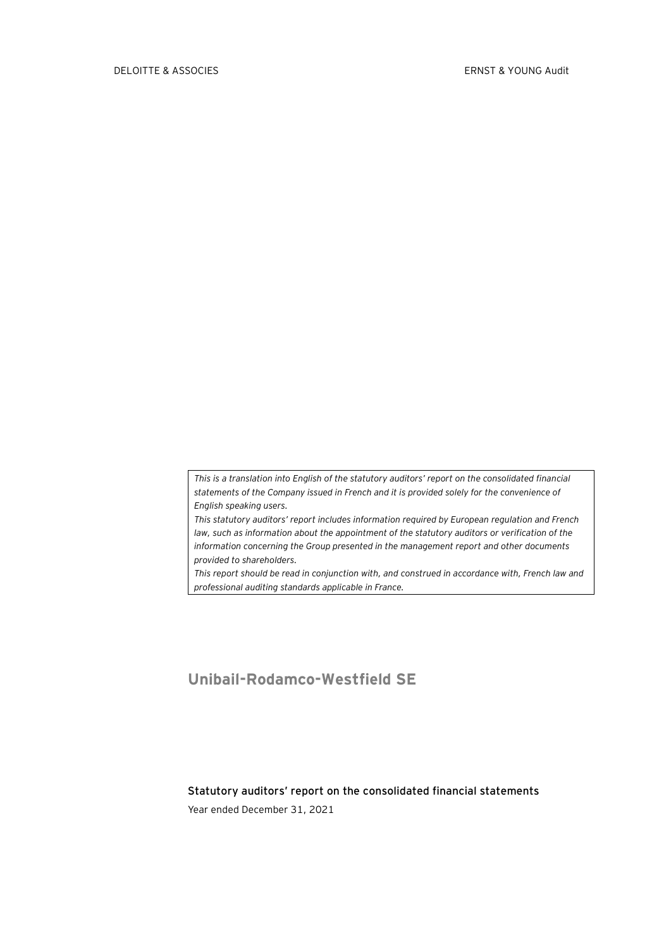*This is a translation into English of the statutory auditors' report on the consolidated financial statements of the Company issued in French and it is provided solely for the convenience of English speaking users.*

*This statutory auditors' report includes information required by European regulation and French law, such as information about the appointment of the statutory auditors or verification of the information concerning the Group presented in the management report and other documents provided to shareholders.*

*This report should be read in conjunction with, and construed in accordance with, French law and professional auditing standards applicable in France.*

# **Unibail-Rodamco-Westfield SE**

# **Statutory auditors' report on the consolidated financial statements**

Year ended December 31, 2021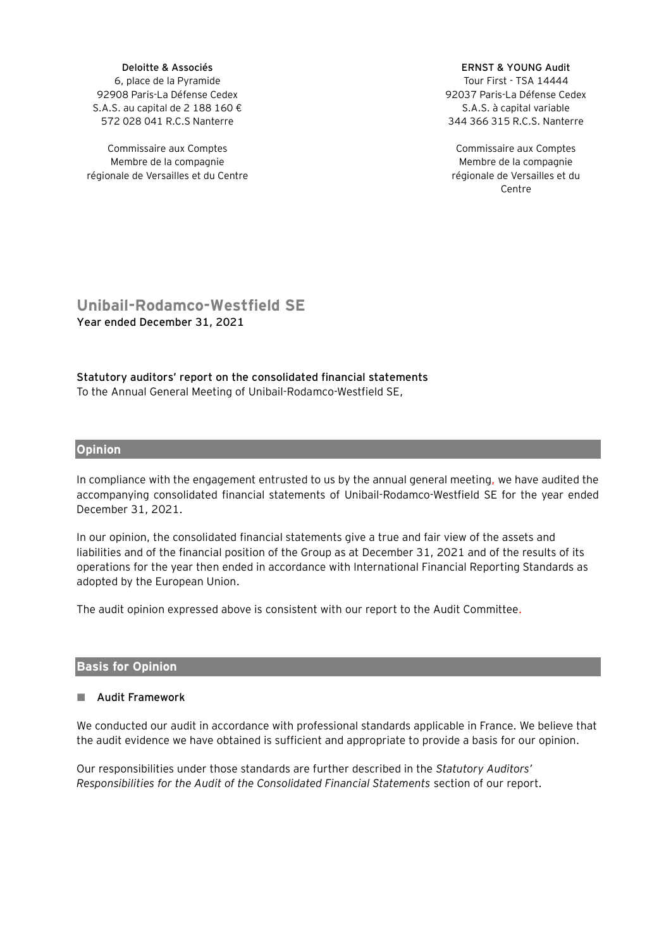**Deloitte & Associés** 6, place de la Pyramide 92908 Paris-La Défense Cedex S.A.S. au capital de 2 188 160 € 572 028 041 R.C.S Nanterre

Commissaire aux Comptes Membre de la compagnie régionale de Versailles et du Centre **ERNST & YOUNG Audit**

Tour First - TSA 14444 92037 Paris-La Défense Cedex S.A.S. à capital variable 344 366 315 R.C.S. Nanterre

Commissaire aux Comptes Membre de la compagnie régionale de Versailles et du Centre

## **Unibail-Rodamco-Westfield SE Year ended December 31, 2021**

**Statutory auditors' report on the consolidated financial statements** To the Annual General Meeting of Unibail-Rodamco-Westfield SE,

#### **Opinion**

In compliance with the engagement entrusted to us by the annual general meeting, we have audited the accompanying consolidated financial statements of Unibail-Rodamco-Westfield SE for the year ended December 31, 2021.

In our opinion, the consolidated financial statements give a true and fair view of the assets and liabilities and of the financial position of the Group as at December 31, 2021 and of the results of its operations for the year then ended in accordance with International Financial Reporting Standards as adopted by the European Union.

The audit opinion expressed above is consistent with our report to the Audit Committee.

#### **Basis for Opinion**

#### **Audit Framework**

We conducted our audit in accordance with professional standards applicable in France. We believe that the audit evidence we have obtained is sufficient and appropriate to provide a basis for our opinion.

Our responsibilities under those standards are further described in the *Statutory Auditors' Responsibilities for the Audit of the Consolidated Financial Statements* section of our report.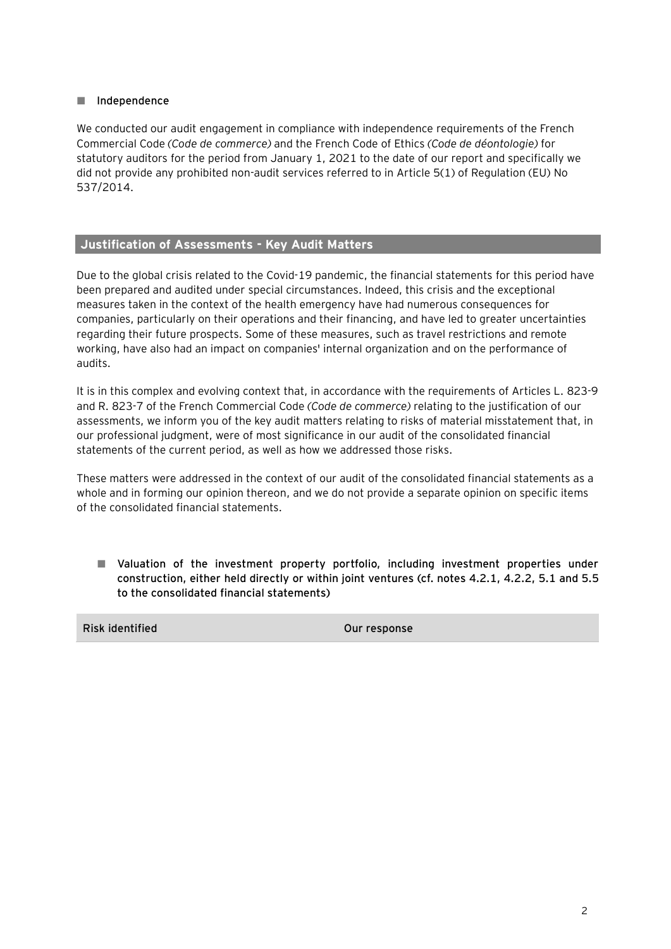#### **Independence**

We conducted our audit engagement in compliance with independence requirements of the French Commercial Code *(Code de commerce)* and the French Code of Ethics *(Code de déontologie)* for statutory auditors for the period from January 1, 2021 to the date of our report and specifically we did not provide any prohibited non-audit services referred to in Article 5(1) of Regulation (EU) No 537/2014.

## **Justification of Assessments - Key Audit Matters**

Due to the global crisis related to the Covid-19 pandemic, the financial statements for this period have been prepared and audited under special circumstances. Indeed, this crisis and the exceptional measures taken in the context of the health emergency have had numerous consequences for companies, particularly on their operations and their financing, and have led to greater uncertainties regarding their future prospects. Some of these measures, such as travel restrictions and remote working, have also had an impact on companies' internal organization and on the performance of audits.

It is in this complex and evolving context that, in accordance with the requirements of Articles L. 823-9 and R. 823-7 of the French Commercial Code *(Code de commerce)* relating to the justification of our assessments, we inform you of the key audit matters relating to risks of material misstatement that, in our professional judgment, were of most significance in our audit of the consolidated financial statements of the current period, as well as how we addressed those risks.

These matters were addressed in the context of our audit of the consolidated financial statements as a whole and in forming our opinion thereon, and we do not provide a separate opinion on specific items of the consolidated financial statements.

 **Valuation of the investment property portfolio, including investment properties under construction, either held directly or within joint ventures (cf. notes 4.2.1, 4.2.2, 5.1 and 5.5 to the consolidated financial statements)**

**Risk identified Our response**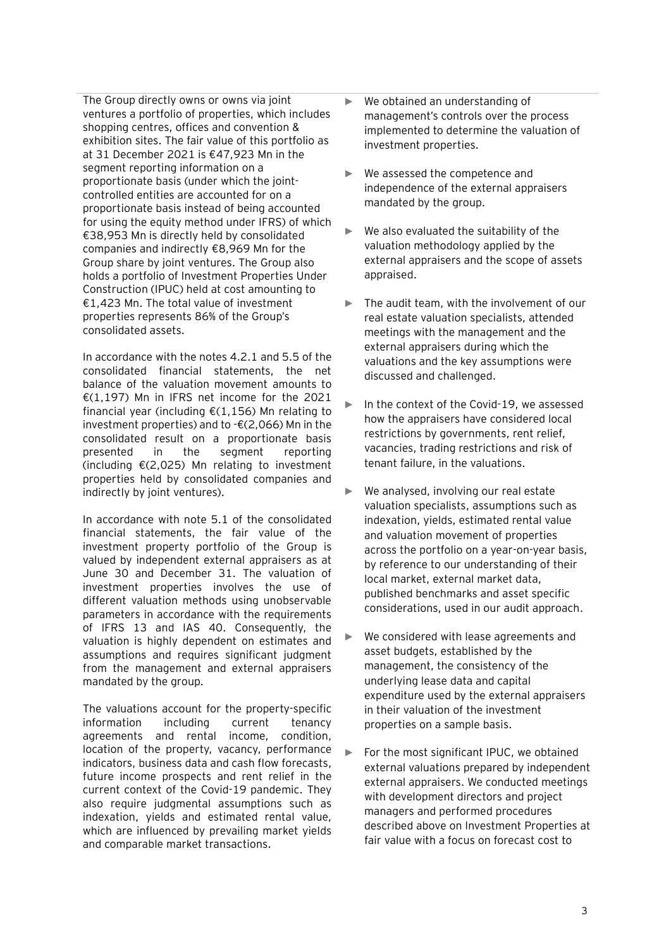The Group directly owns or owns via joint ventures a portfolio of properties, which includes shopping centres, offices and convention & exhibition sites. The fair value of this portfolio as at 31 December 2021 is €47,923 Mn in the segment reporting information on a proportionate basis (under which the jointcontrolled entities are accounted for on a proportionate basis instead of being accounted for using the equity method under IFRS) of which €38,953 Mn is directly held by consolidated companies and indirectly €8,969 Mn for the Group share by joint ventures. The Group also holds a portfolio of Investment Properties Under Construction (IPUC) held at cost amounting to €1,423 Mn. The total value of investment properties represents 86% of the Group's consolidated assets.

In accordance with the notes 4.2.1 and 5.5 of the consolidated financial statements, the net balance of the valuation movement amounts to €(1,197) Mn in IFRS net income for the 2021 financial year (including  $E(1,156)$  Mn relating to investment properties) and to -€(2,066) Mn in the consolidated result on a proportionate basis presented in the segment reporting (including €(2,025) Mn relating to investment properties held by consolidated companies and indirectly by joint ventures).

In accordance with note 5.1 of the consolidated financial statements, the fair value of the investment property portfolio of the Group is valued by independent external appraisers as at June 30 and December 31. The valuation of investment properties involves the use of different valuation methods using unobservable parameters in accordance with the requirements of IFRS 13 and IAS 40. Consequently, the valuation is highly dependent on estimates and assumptions and requires significant judgment from the management and external appraisers mandated by the group.

The valuations account for the property-specific information including current tenancy agreements and rental income, condition, location of the property, vacancy, performance indicators, business data and cash flow forecasts, future income prospects and rent relief in the current context of the Covid-19 pandemic. They also require judgmental assumptions such as indexation, yields and estimated rental value, which are influenced by prevailing market yields and comparable market transactions.

- We obtained an understanding of management's controls over the process implemented to determine the valuation of investment properties.
- ► We assessed the competence and independence of the external appraisers mandated by the group.
- We also evaluated the suitability of the valuation methodology applied by the external appraisers and the scope of assets appraised.
- ► The audit team, with the involvement of our real estate valuation specialists, attended meetings with the management and the external appraisers during which the valuations and the key assumptions were discussed and challenged.
- In the context of the Covid-19, we assessed how the appraisers have considered local restrictions by governments, rent relief, vacancies, trading restrictions and risk of tenant failure, in the valuations.
- ► We analysed, involving our real estate valuation specialists, assumptions such as indexation, yields, estimated rental value and valuation movement of properties across the portfolio on a year-on-year basis, by reference to our understanding of their local market, external market data, published benchmarks and asset specific considerations, used in our audit approach.
- We considered with lease agreements and asset budgets, established by the management, the consistency of the underlying lease data and capital expenditure used by the external appraisers in their valuation of the investment properties on a sample basis.
- ► For the most significant IPUC, we obtained external valuations prepared by independent external appraisers. We conducted meetings with development directors and project managers and performed procedures described above on Investment Properties at fair value with a focus on forecast cost to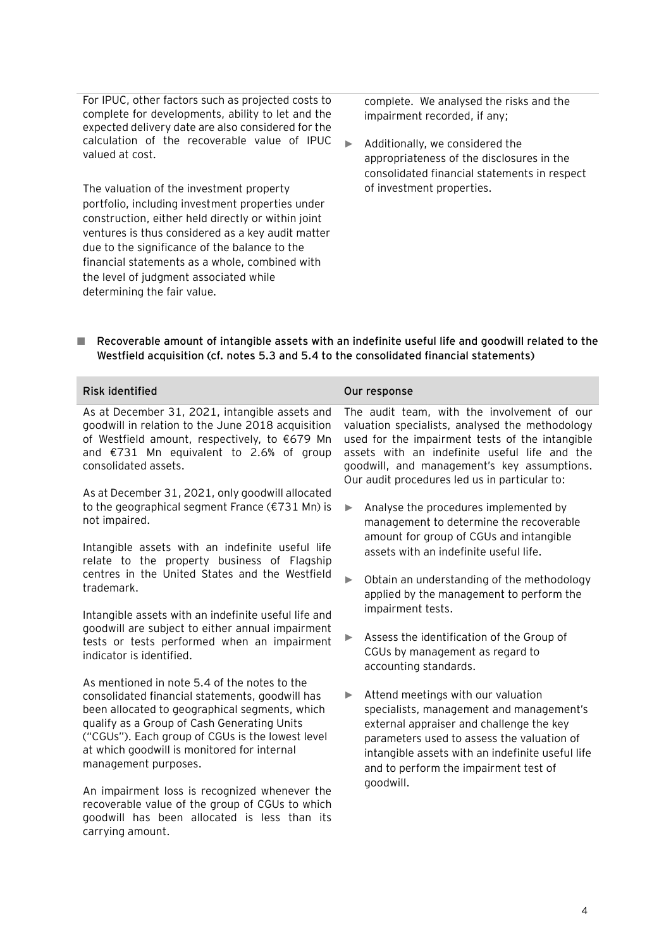For IPUC, other factors such as projected costs to complete for developments, ability to let and the expected delivery date are also considered for the calculation of the recoverable value of IPUC valued at cost.

The valuation of the investment property portfolio, including investment properties under construction, either held directly or within joint ventures is thus considered as a key audit matter due to the significance of the balance to the financial statements as a whole, combined with the level of judgment associated while determining the fair value.

complete. We analysed the risks and the impairment recorded, if any;

► Additionally, we considered the appropriateness of the disclosures in the consolidated financial statements in respect of investment properties.

#### **Recoverable amount of intangible assets with an indefinite useful life and goodwill related to the Westfield acquisition (cf. notes 5.3 and 5.4 to the consolidated financial statements)**

| Risk identified                                                                                                                                                                                                                                      | Our response                                                                                                                                                                                                                                                                                       |
|------------------------------------------------------------------------------------------------------------------------------------------------------------------------------------------------------------------------------------------------------|----------------------------------------------------------------------------------------------------------------------------------------------------------------------------------------------------------------------------------------------------------------------------------------------------|
| As at December 31, 2021, intangible assets and<br>goodwill in relation to the June 2018 acquisition<br>of Westfield amount, respectively, to $6679$ Mn<br>and €731 Mn equivalent to 2.6% of group<br>consolidated assets.                            | The audit team, with the involvement of our<br>valuation specialists, analysed the methodology<br>used for the impairment tests of the intangible<br>assets with an indefinite useful life and the<br>goodwill, and management's key assumptions.<br>Our audit procedures led us in particular to: |
| As at December 31, 2021, only goodwill allocated<br>to the geographical segment France $(\text{\textsterling}731 \text{ Mn})$ is<br>not impaired.<br>Intangible assets with an indefinite useful life<br>relate to the property business of Flagship | Analyse the procedures implemented by<br>$\blacktriangleright$<br>management to determine the recoverable<br>amount for group of CGUs and intangible<br>assets with an indefinite useful life.                                                                                                     |
| centres in the United States and the Westfield<br>trademark.                                                                                                                                                                                         | Obtain an understanding of the methodology<br>▶<br>applied by the management to perform the<br>impairment tests.                                                                                                                                                                                   |
| Intangible assets with an indefinite useful life and<br>goodwill are subject to either annual impairment<br>tests or tests performed when an impairment<br>indicator is identified.                                                                  | Assess the identification of the Group of<br>▶<br>CGUs by management as regard to                                                                                                                                                                                                                  |

As mentioned in note 5.4 of the notes to the consolidated financial statements, goodwill has been allocated to geographical segments, which qualify as a Group of Cash Generating Units ("CGUs"). Each group of CGUs is the lowest level at which goodwill is monitored for internal management purposes.

An impairment loss is recognized whenever the recoverable value of the group of CGUs to which goodwill has been allocated is less than its carrying amount.

# accounting standards. ► Attend meetings with our valuation specialists, management and management's

external appraiser and challenge the key parameters used to assess the valuation of intangible assets with an indefinite useful life and to perform the impairment test of goodwill.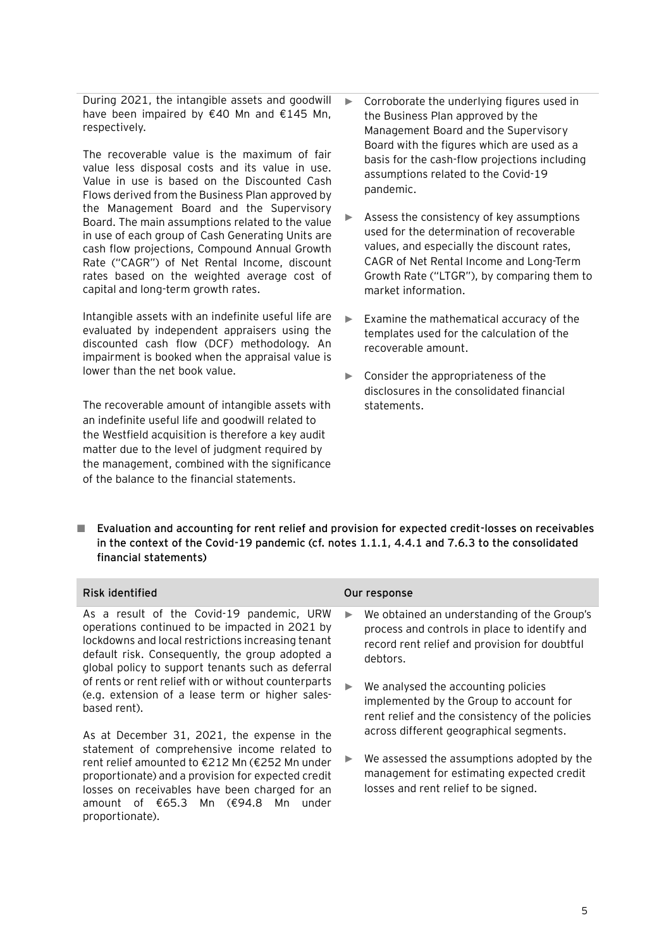During 2021, the intangible assets and goodwill have been impaired by €40 Mn and €145 Mn, respectively.

The recoverable value is the maximum of fair value less disposal costs and its value in use. Value in use is based on the Discounted Cash Flows derived from the Business Plan approved by the Management Board and the Supervisory Board. The main assumptions related to the value in use of each group of Cash Generating Units are cash flow projections, Compound Annual Growth Rate ("CAGR") of Net Rental Income, discount rates based on the weighted average cost of capital and long-term growth rates.

Intangible assets with an indefinite useful life are evaluated by independent appraisers using the discounted cash flow (DCF) methodology. An impairment is booked when the appraisal value is lower than the net book value.

The recoverable amount of intangible assets with an indefinite useful life and goodwill related to the Westfield acquisition is therefore a key audit matter due to the level of judgment required by the management, combined with the significance of the balance to the financial statements.

- Corroborate the underlying figures used in the Business Plan approved by the Management Board and the Supervisory Board with the figures which are used as a basis for the cash-flow projections including assumptions related to the Covid-19 pandemic.
- Assess the consistency of key assumptions used for the determination of recoverable values, and especially the discount rates, CAGR of Net Rental Income and Long-Term Growth Rate ("LTGR"), by comparing them to market information.
- ► Examine the mathematical accuracy of the templates used for the calculation of the recoverable amount.
- ► Consider the appropriateness of the disclosures in the consolidated financial statements.

 **Evaluation and accounting for rent relief and provision for expected credit-losses on receivables in the context of the Covid-19 pandemic (cf. notes 1.1.1, 4.4.1 and 7.6.3 to the consolidated financial statements)**

| Risk identified                                                                                                                                                                                                                                                                                                                                                                       |   | Our response                                                                                                                                              |
|---------------------------------------------------------------------------------------------------------------------------------------------------------------------------------------------------------------------------------------------------------------------------------------------------------------------------------------------------------------------------------------|---|-----------------------------------------------------------------------------------------------------------------------------------------------------------|
| As a result of the Covid-19 pandemic, URW<br>operations continued to be impacted in 2021 by<br>lockdowns and local restrictions increasing tenant<br>default risk. Consequently, the group adopted a<br>global policy to support tenants such as deferral<br>of rents or rent relief with or without counterparts<br>(e.g. extension of a lease term or higher sales-<br>based rent). | ▶ | We obtained an understanding of the Group's<br>process and controls in place to identify and<br>record rent relief and provision for doubtful<br>debtors. |
|                                                                                                                                                                                                                                                                                                                                                                                       | ▶ | We analysed the accounting policies<br>implemented by the Group to account for<br>rent relief and the consistency of the policies                         |
| As at December 31, 2021, the expense in the<br>statement of comprehensive income related to                                                                                                                                                                                                                                                                                           |   | across different geographical segments.                                                                                                                   |
| rent relief amounted to €212 Mn (€252 Mn under<br>proportionate) and a provision for expected credit<br>losses on receivables have been charged for an<br>amount of $£65.3$<br>Mn (€94.8<br>Mn.<br>under<br>proportionate).                                                                                                                                                           | ▶ | We assessed the assumptions adopted by the<br>management for estimating expected credit<br>losses and rent relief to be signed.                           |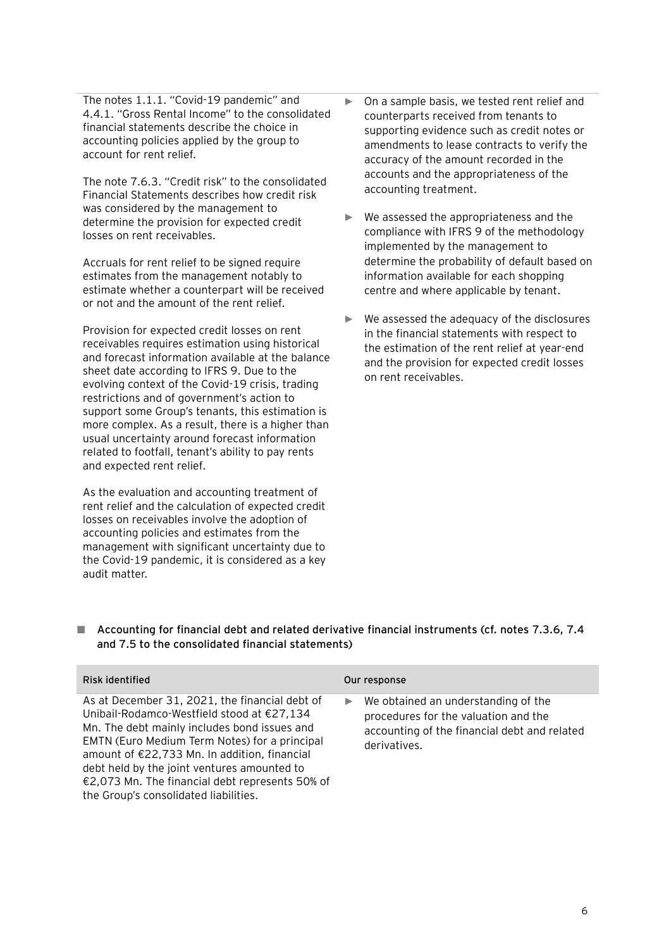The notes 1.1.1. "Covid-19 pandemic" and 4.4.1. "Gross Rental Income" to the consolidated financial statements describe the choice in accounting policies applied by the group to account for rent relief.

The note 7.6.3. "Credit risk" to the consolidated Financial Statements describes how credit risk was considered by the management to determine the provision for expected credit losses on rent receivables.

Accruals for rent relief to be signed require estimates from the management notably to estimate whether a counterpart will be received or not and the amount of the rent relief.

Provision for expected credit losses on rent receivables requires estimation using historical and forecast information available at the balance sheet date according to IFRS 9. Due to the evolving context of the Covid-19 crisis, trading restrictions and of government's action to support some Group's tenants, this estimation is more complex. As a result, there is a higher than usual uncertainty around forecast information related to footfall, tenant's ability to pay rents and expected rent relief.

As the evaluation and accounting treatment of rent relief and the calculation of expected credit losses on receivables involve the adoption of accounting policies and estimates from the management with significant uncertainty due to the Covid-19 pandemic, it is considered as a key audit matter.

- ► On a sample basis, we tested rent relief and counterparts received from tenants to supporting evidence such as credit notes or amendments to lease contracts to verify the accuracy of the amount recorded in the accounts and the appropriateness of the accounting treatment.
- ► We assessed the appropriateness and the compliance with IFRS 9 of the methodology implemented by the management to determine the probability of default based on information available for each shopping centre and where applicable by tenant.
- $\blacktriangleright$  We assessed the adequacy of the disclosures in the financial statements with respect to the estimation of the rent relief at year-end and the provision for expected credit losses on rent receivables.

#### **Accounting for financial debt and related derivative financial instruments (cf. notes 7.3.6, 7.4 and 7.5 to the consolidated financial statements)**

| Risk identified                                                                                                                                                                                                                                                                                                                                                                          | Our response                                                                                                                                                         |
|------------------------------------------------------------------------------------------------------------------------------------------------------------------------------------------------------------------------------------------------------------------------------------------------------------------------------------------------------------------------------------------|----------------------------------------------------------------------------------------------------------------------------------------------------------------------|
| As at December 31, 2021, the financial debt of<br>Unibail-Rodamco-Westfield stood at €27,134<br>Mn. The debt mainly includes bond issues and<br>EMTN (Euro Medium Term Notes) for a principal<br>amount of €22,733 Mn. In addition, financial<br>debt held by the joint ventures amounted to<br>€2,073 Mn. The financial debt represents 50% of<br>the Group's consolidated liabilities. | We obtained an understanding of the<br>$\blacktriangleright$<br>procedures for the valuation and the<br>accounting of the financial debt and related<br>derivatives. |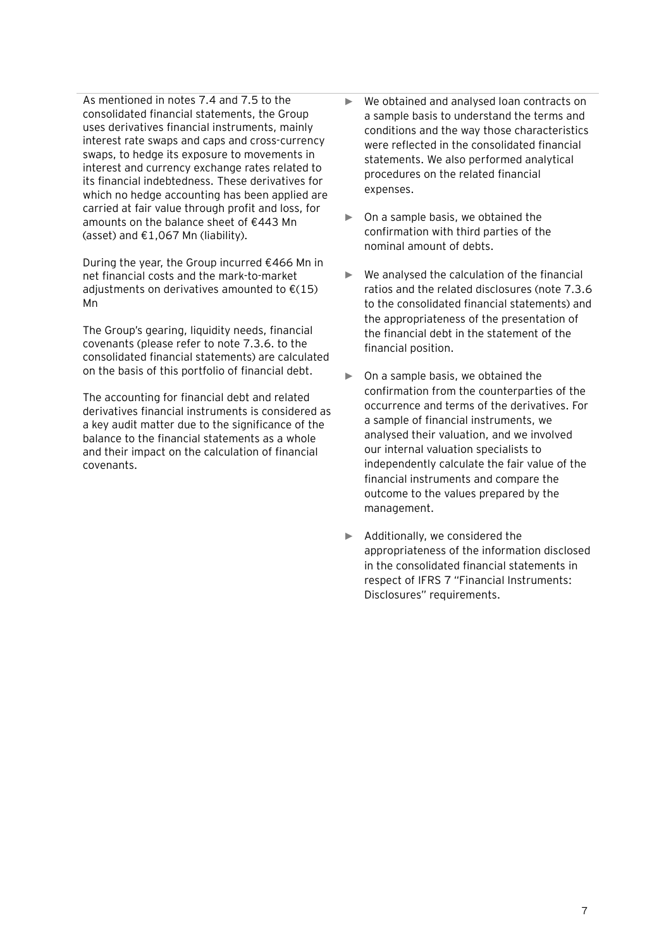As mentioned in notes 7.4 and 7.5 to the consolidated financial statements, the Group uses derivatives financial instruments, mainly interest rate swaps and caps and cross-currency swaps, to hedge its exposure to movements in interest and currency exchange rates related to its financial indebtedness. These derivatives for which no hedge accounting has been applied are carried at fair value through profit and loss, for amounts on the balance sheet of €443 Mn (asset) and  $£1,067$  Mn (liability).

During the year, the Group incurred €466 Mn in net financial costs and the mark-to-market adjustments on derivatives amounted to  $\epsilon$ (15) Mn

The Group's gearing, liquidity needs, financial covenants (please refer to note 7.3.6. to the consolidated financial statements) are calculated on the basis of this portfolio of financial debt.

The accounting for financial debt and related derivatives financial instruments is considered as a key audit matter due to the significance of the balance to the financial statements as a whole and their impact on the calculation of financial covenants.

- ► We obtained and analysed loan contracts on a sample basis to understand the terms and conditions and the way those characteristics were reflected in the consolidated financial statements. We also performed analytical procedures on the related financial expenses.
- ► On a sample basis, we obtained the confirmation with third parties of the nominal amount of debts.
- $\blacktriangleright$  We analysed the calculation of the financial ratios and the related disclosures (note 7.3.6 to the consolidated financial statements) and the appropriateness of the presentation of the financial debt in the statement of the financial position.
- On a sample basis, we obtained the confirmation from the counterparties of the occurrence and terms of the derivatives. For a sample of financial instruments, we analysed their valuation, and we involved our internal valuation specialists to independently calculate the fair value of the financial instruments and compare the outcome to the values prepared by the management.
- ► Additionally, we considered the appropriateness of the information disclosed in the consolidated financial statements in respect of IFRS 7 "Financial Instruments: Disclosures" requirements.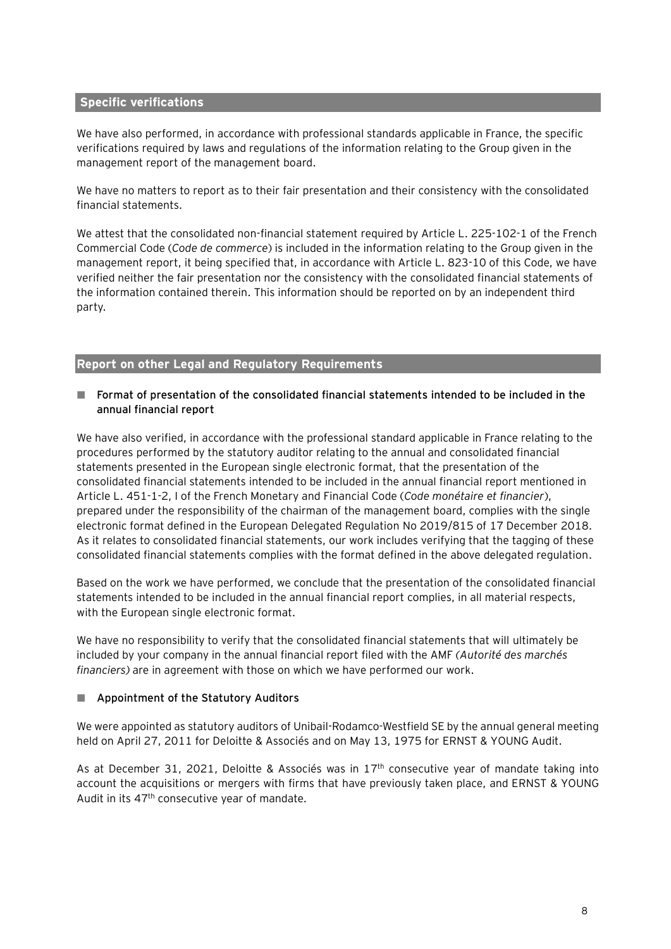#### **Specific verifications**

We have also performed, in accordance with professional standards applicable in France, the specific verifications required by laws and regulations of the information relating to the Group given in the management report of the management board.

We have no matters to report as to their fair presentation and their consistency with the consolidated financial statements.

We attest that the consolidated non-financial statement required by Article L. 225-102-1 of the French Commercial Code (*Code de commerce*) is included in the information relating to the Group given in the management report, it being specified that, in accordance with Article L. 823-10 of this Code, we have verified neither the fair presentation nor the consistency with the consolidated financial statements of the information contained therein. This information should be reported on by an independent third party.

#### **Report on other Legal and Regulatory Requirements**

#### **Format of presentation of the consolidated financial statements intended to be included in the annual financial report**

We have also verified, in accordance with the professional standard applicable in France relating to the procedures performed by the statutory auditor relating to the annual and consolidated financial statements presented in the European single electronic format, that the presentation of the consolidated financial statements intended to be included in the annual financial report mentioned in Article L. 451-1-2, I of the French Monetary and Financial Code (*Code monétaire et financier*), prepared under the responsibility of the chairman of the management board, complies with the single electronic format defined in the European Delegated Regulation No 2019/815 of 17 December 2018. As it relates to consolidated financial statements, our work includes verifying that the tagging of these consolidated financial statements complies with the format defined in the above delegated regulation.

Based on the work we have performed, we conclude that the presentation of the consolidated financial statements intended to be included in the annual financial report complies, in all material respects, with the European single electronic format.

We have no responsibility to verify that the consolidated financial statements that will ultimately be included by your company in the annual financial report filed with the AMF *(Autorité des marchés financiers)* are in agreement with those on which we have performed our work.

#### **Appointment of the Statutory Auditors**

We were appointed as statutory auditors of Unibail-Rodamco-Westfield SE by the annual general meeting held on April 27, 2011 for Deloitte & Associés and on May 13, 1975 for ERNST & YOUNG Audit.

As at December 31, 2021, Deloitte & Associés was in  $17<sup>th</sup>$  consecutive year of mandate taking into account the acquisitions or mergers with firms that have previously taken place, and ERNST & YOUNG Audit in its 47<sup>th</sup> consecutive year of mandate.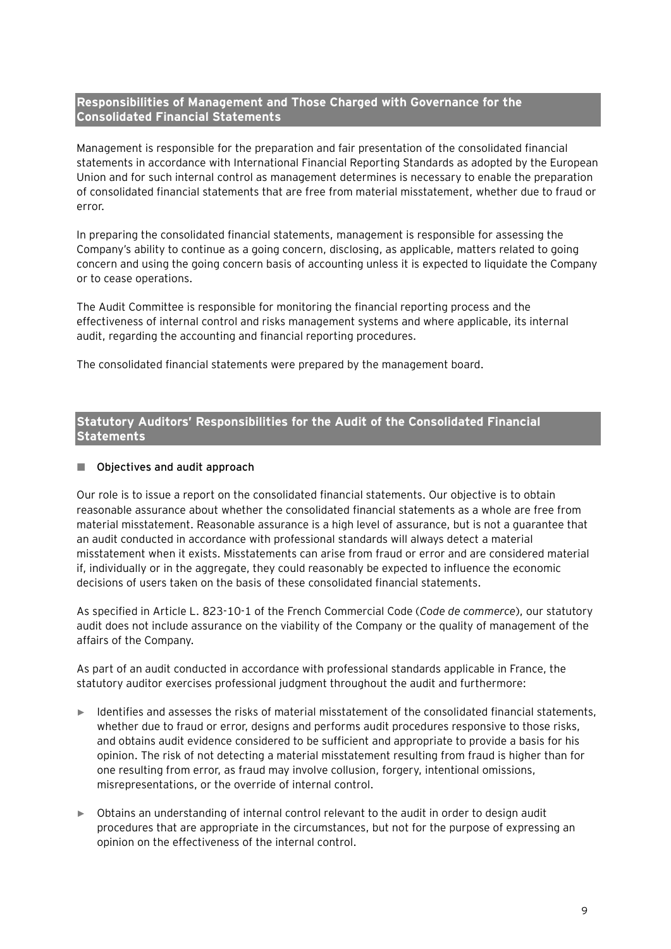## **Responsibilities of Management and Those Charged with Governance for the Consolidated Financial Statements**

Management is responsible for the preparation and fair presentation of the consolidated financial statements in accordance with International Financial Reporting Standards as adopted by the European Union and for such internal control as management determines is necessary to enable the preparation of consolidated financial statements that are free from material misstatement, whether due to fraud or error.

In preparing the consolidated financial statements, management is responsible for assessing the Company's ability to continue as a going concern, disclosing, as applicable, matters related to going concern and using the going concern basis of accounting unless it is expected to liquidate the Company or to cease operations.

The Audit Committee is responsible for monitoring the financial reporting process and the effectiveness of internal control and risks management systems and where applicable, its internal audit, regarding the accounting and financial reporting procedures.

The consolidated financial statements were prepared by the management board.

### **Statutory Auditors' Responsibilities for the Audit of the Consolidated Financial Statements**

#### **Objectives and audit approach**

Our role is to issue a report on the consolidated financial statements. Our objective is to obtain reasonable assurance about whether the consolidated financial statements as a whole are free from material misstatement. Reasonable assurance is a high level of assurance, but is not a guarantee that an audit conducted in accordance with professional standards will always detect a material misstatement when it exists. Misstatements can arise from fraud or error and are considered material if, individually or in the aggregate, they could reasonably be expected to influence the economic decisions of users taken on the basis of these consolidated financial statements.

As specified in Article L. 823-10-1 of the French Commercial Code (*Code de commerce*), our statutory audit does not include assurance on the viability of the Company or the quality of management of the affairs of the Company.

As part of an audit conducted in accordance with professional standards applicable in France, the statutory auditor exercises professional judgment throughout the audit and furthermore:

- ► Identifies and assesses the risks of material misstatement of the consolidated financial statements, whether due to fraud or error, designs and performs audit procedures responsive to those risks, and obtains audit evidence considered to be sufficient and appropriate to provide a basis for his opinion. The risk of not detecting a material misstatement resulting from fraud is higher than for one resulting from error, as fraud may involve collusion, forgery, intentional omissions, misrepresentations, or the override of internal control.
- ► Obtains an understanding of internal control relevant to the audit in order to design audit procedures that are appropriate in the circumstances, but not for the purpose of expressing an opinion on the effectiveness of the internal control.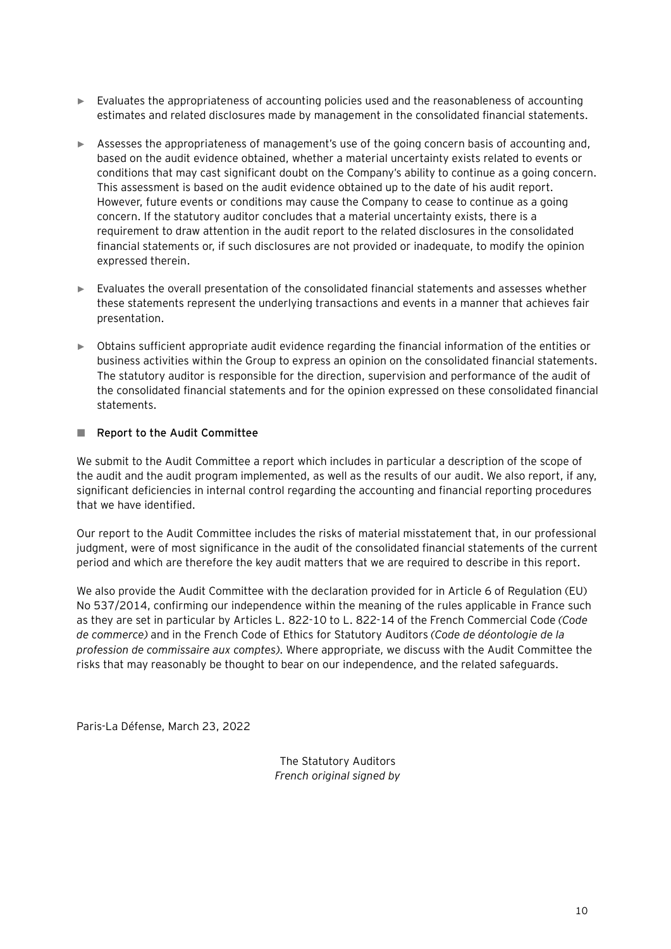- ► Evaluates the appropriateness of accounting policies used and the reasonableness of accounting estimates and related disclosures made by management in the consolidated financial statements.
- ► Assesses the appropriateness of management's use of the going concern basis of accounting and, based on the audit evidence obtained, whether a material uncertainty exists related to events or conditions that may cast significant doubt on the Company's ability to continue as a going concern. This assessment is based on the audit evidence obtained up to the date of his audit report. However, future events or conditions may cause the Company to cease to continue as a going concern. If the statutory auditor concludes that a material uncertainty exists, there is a requirement to draw attention in the audit report to the related disclosures in the consolidated financial statements or, if such disclosures are not provided or inadequate, to modify the opinion expressed therein.
- ► Evaluates the overall presentation of the consolidated financial statements and assesses whether these statements represent the underlying transactions and events in a manner that achieves fair presentation.
- ► Obtains sufficient appropriate audit evidence regarding the financial information of the entities or business activities within the Group to express an opinion on the consolidated financial statements. The statutory auditor is responsible for the direction, supervision and performance of the audit of the consolidated financial statements and for the opinion expressed on these consolidated financial statements.

#### ■ Report to the Audit Committee

We submit to the Audit Committee a report which includes in particular a description of the scope of the audit and the audit program implemented, as well as the results of our audit. We also report, if any, significant deficiencies in internal control regarding the accounting and financial reporting procedures that we have identified.

Our report to the Audit Committee includes the risks of material misstatement that, in our professional judgment, were of most significance in the audit of the consolidated financial statements of the current period and which are therefore the key audit matters that we are required to describe in this report.

We also provide the Audit Committee with the declaration provided for in Article 6 of Regulation (EU) No 537/2014, confirming our independence within the meaning of the rules applicable in France such as they are set in particular by Articles L. 822-10 to L. 822-14 of the French Commercial Code *(Code de commerce)* and in the French Code of Ethics for Statutory Auditors *(Code de déontologie de la profession de commissaire aux comptes)*. Where appropriate, we discuss with the Audit Committee the risks that may reasonably be thought to bear on our independence, and the related safeguards.

Paris-La Défense, March 23, 2022

The Statutory Auditors *French original signed by*